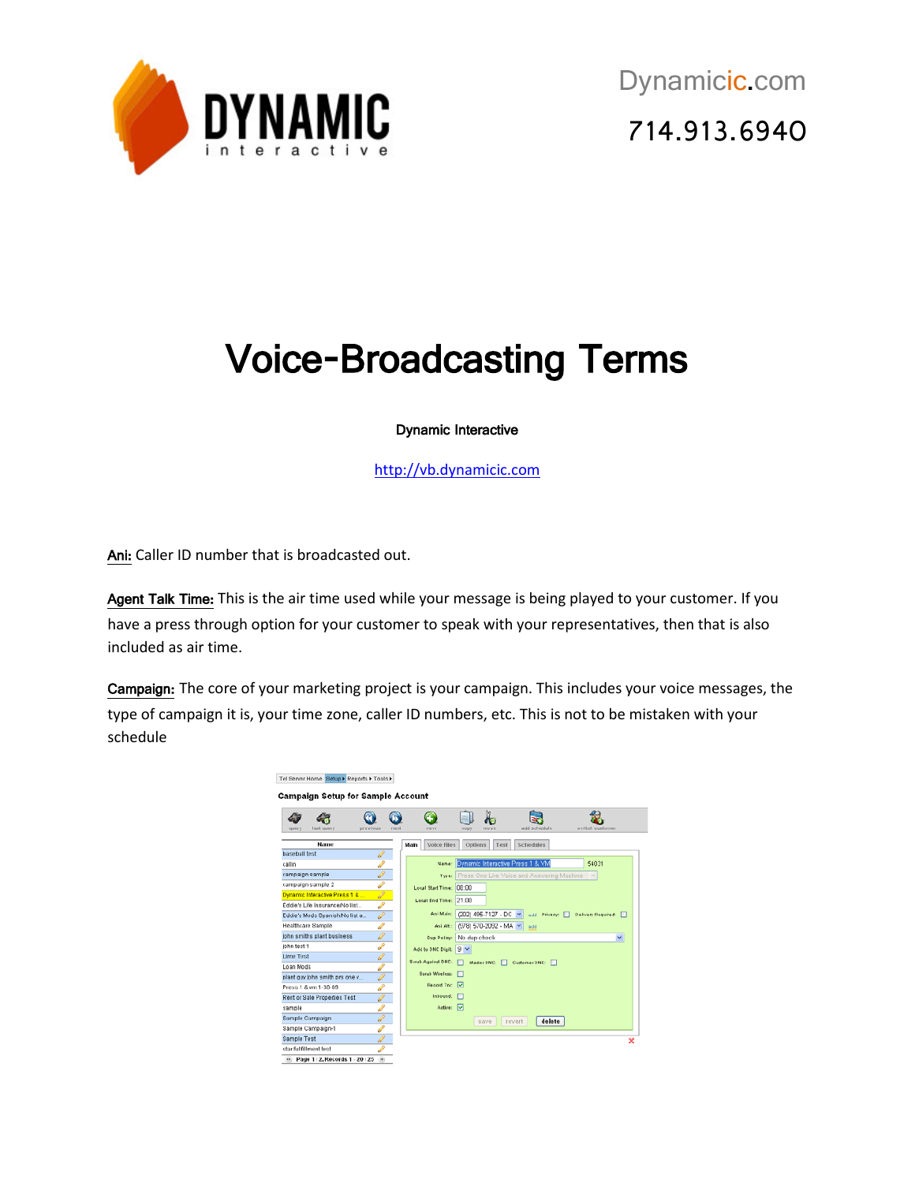

## Voice-Broadcasting Terms

## Dynamic Interactive

[http://vb.dynamicic.com](http://vb.dynamicic.com/)

Ani: Caller ID number that is broadcasted out.

Agent Talk Time: This is the air time used while your message is being played to your customer. If you have a press through option for your customer to speak with your representatives, then that is also included as air time.

Campaign: The core of your marketing project is your campaign. This includes your voice messages, the type of campaign it is, your time zone, caller ID numbers, etc. This is not to be mistaken with your schedule

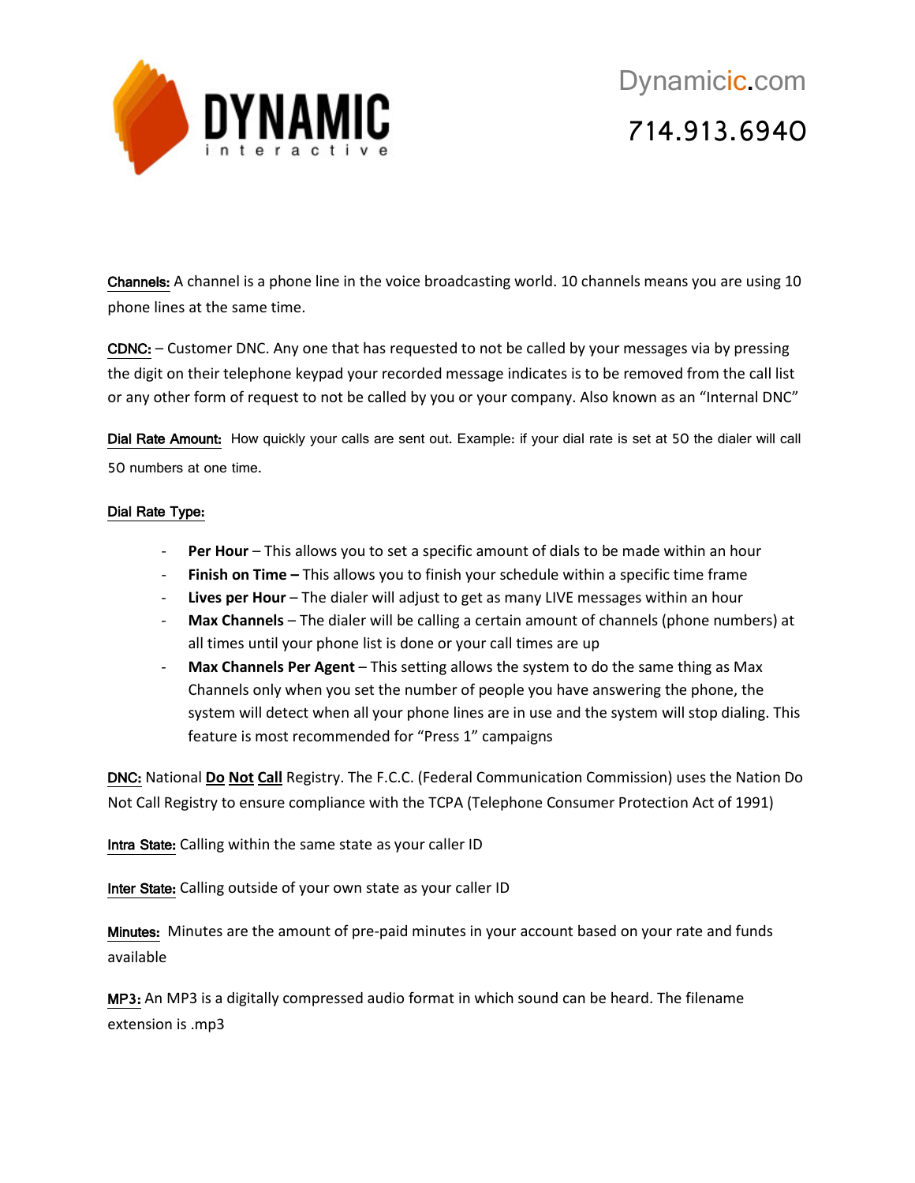

Channels: A channel is a phone line in the voice broadcasting world. 10 channels means you are using 10 phone lines at the same time.

CDNC: – Customer DNC. Any one that has requested to not be called by your messages via by pressing the digit on their telephone keypad your recorded message indicates is to be removed from the call list or any other form of request to not be called by you or your company. Also known as an "Internal DNC"

Dial Rate Amount: How quickly your calls are sent out. Example: if your dial rate is set at 50 the dialer will call 50 numbers at one time.

## Dial Rate Type:

- **Per Hour** This allows you to set a specific amount of dials to be made within an hour
- **Finish on Time –** This allows you to finish your schedule within a specific time frame
- Lives per Hour The dialer will adjust to get as many LIVE messages within an hour
- **Max Channels** The dialer will be calling a certain amount of channels (phone numbers) at all times until your phone list is done or your call times are up
- **Max Channels Per Agent** This setting allows the system to do the same thing as Max Channels only when you set the number of people you have answering the phone, the system will detect when all your phone lines are in use and the system will stop dialing. This feature is most recommended for "Press 1" campaigns

DNC: National **Do Not Call** Registry. The F.C.C. (Federal Communication Commission) uses the Nation Do Not Call Registry to ensure compliance with the TCPA (Telephone Consumer Protection Act of 1991)

Intra State: Calling within the same state as your caller ID

Inter State: Calling outside of your own state as your caller ID

Minutes: Minutes are the amount of pre-paid minutes in your account based on your rate and funds available

MP3: An MP3 is a digitally compressed audio format in which sound can be heard. The filename extension is .mp3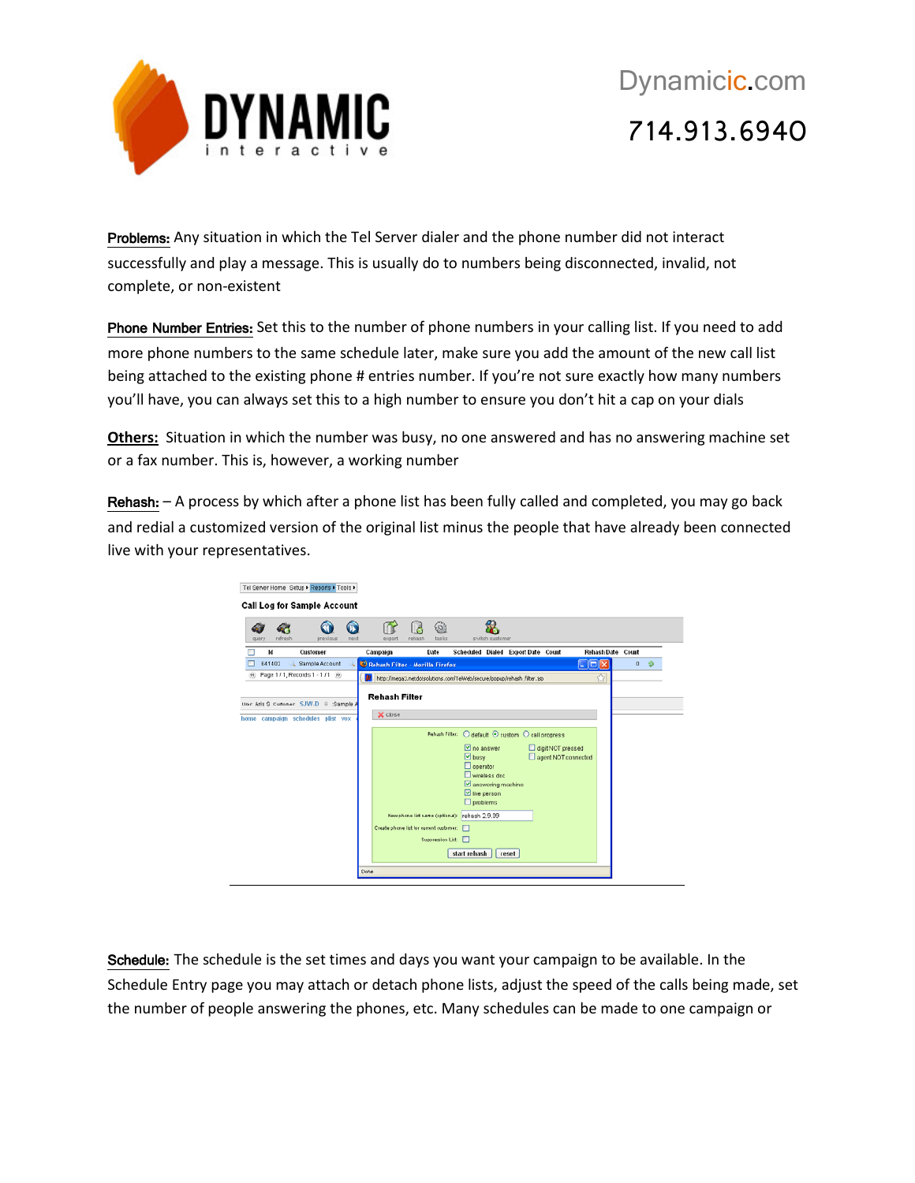

Problems: Any situation in which the Tel Server dialer and the phone number did not interact successfully and play a message. This is usually do to numbers being disconnected, invalid, not complete, or non-existent

Phone Number Entries: Set this to the number of phone numbers in your calling list. If you need to add more phone numbers to the same schedule later, make sure you add the amount of the new call list being attached to the existing phone # entries number. If you're not sure exactly how many numbers you'll have, you can always set this to a high number to ensure you don't hit a cap on your dials

**Others:** Situation in which the number was busy, no one answered and has no answering machine set or a fax number. This is, however, a working number

Rehash: – A process by which after a phone list has been fully called and completed, you may go back and redial a customized version of the original list minus the people that have already been connected live with your representatives.

|                  | Tel Server Horne Setup > Reports > Tools ><br>Call Log for Sample Account      |      |                                                                        |        |                          |                                                                               |                                   |       |                   |                          |          |  |
|------------------|--------------------------------------------------------------------------------|------|------------------------------------------------------------------------|--------|--------------------------|-------------------------------------------------------------------------------|-----------------------------------|-------|-------------------|--------------------------|----------|--|
| refresh<br>query | previous                                                                       | next | export                                                                 | rehash | 603<br>tasks             |                                                                               | switch oustomer                   |       |                   |                          |          |  |
| <b>Id</b>        | Customer                                                                       |      | Campaign                                                               |        | Date                     | Scheduled Dialed ExportDate Count                                             |                                   |       |                   | <b>Rehash Date Count</b> |          |  |
| 641402           | Sample Account                                                                 |      | Rehash Filter - Mozilla Firefox                                        |        |                          |                                                                               |                                   |       |                   | $\Box$ o $\mathbf{x}$    | $\bf{0}$ |  |
| (4)              | Page 1 / 1, Records 1 - 1 / 1 (ii)                                             |      | http://mega3.netdotsolutions.com/TelWeb/secure/popup/rehash_filter.jsp |        |                          |                                                                               |                                   |       |                   | ŵ                        |          |  |
|                  | User: Aris S. Customer: SJW-D = :Sample A<br>home campaign schedules plist vox |      | X close                                                                |        |                          | Rehash Filter: O default © custom O call progress<br>no answer<br>$\Box$ busy |                                   |       | digit NOT pressed | agent NOT connected      |          |  |
|                  |                                                                                |      |                                                                        |        |                          | $\Box$ operator<br>I'll live person<br>$\Box$ problems                        | Wireless dnc<br>answering machine |       |                   |                          |          |  |
|                  |                                                                                |      |                                                                        |        |                          | New phone list name (optional): rehash 2.9.09                                 |                                   |       |                   |                          |          |  |
|                  |                                                                                |      | Create phone list for current customer:                                |        |                          |                                                                               |                                   |       |                   |                          |          |  |
|                  |                                                                                |      |                                                                        |        | <b>Suppression List:</b> | start rehash                                                                  |                                   | reset |                   |                          |          |  |
|                  |                                                                                |      |                                                                        |        |                          |                                                                               |                                   |       |                   |                          |          |  |
|                  |                                                                                | Done |                                                                        |        |                          |                                                                               |                                   |       |                   |                          |          |  |

Schedule: The schedule is the set times and days you want your campaign to be available. In the Schedule Entry page you may attach or detach phone lists, adjust the speed of the calls being made, set the number of people answering the phones, etc. Many schedules can be made to one campaign or